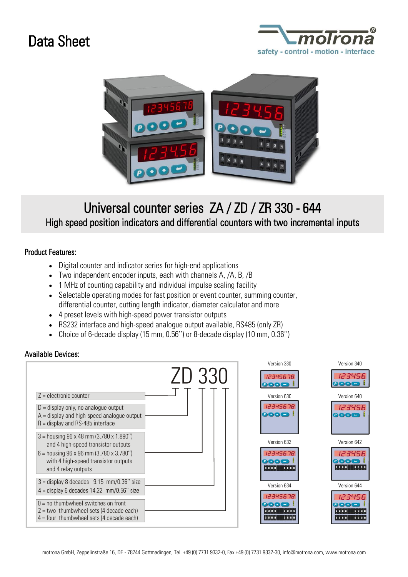## Data Sheet





## Universal counter series ZA / ZD / ZR 330 - 644 High speed position indicators and differential counters with two incremental inputs

## Product Features:

- Digital counter and indicator series for high-end applications
- Two independent encoder inputs, each with channels A, /A, B, /B
- 1 MHz of counting capability and individual impulse scaling facility
- Selectable operating modes for fast position or event counter, summing counter, differential counter, cutting length indicator, diameter calculator and more
- 4 preset levels with high-speed power transistor outputs
- RS232 interface and high-speed analogue output available, RS485 (only ZR)
- Choice of 6-decade display (15 mm, 0.56'') or 8-decade display (10 mm, 0.36'')

## Available Devices: